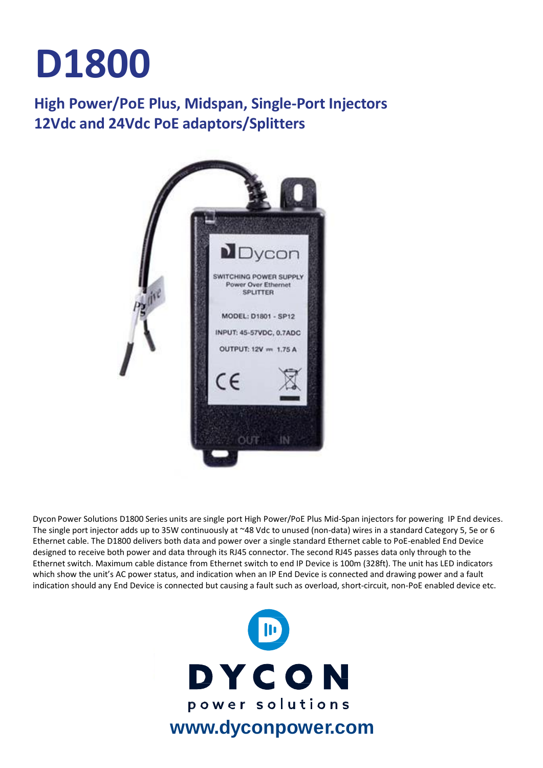# **D1800**

### **High Power/PoE Plus, Midspan, Single-Port Injectors 12Vdc and 24Vdc PoE adaptors/Splitters**



Dycon Power Solutions D1800 Series units are single port High Power/PoE Plus Mid-Span injectors for powering IP End devices. The single port injector adds up to 35W continuously at ~48 Vdc to unused (non-data) wires in a standard Category 5, 5e or 6 Ethernet cable. The D1800 delivers both data and power over a single standard Ethernet cable to PoE-enabled End Device designed to receive both power and data through its RJ45 connector. The second RJ45 passes data only through to the Ethernet switch. Maximum cable distance from Ethernet switch to end IP Device is 100m (328ft). The unit has LED indicators which show the unit's AC power status, and indication when an IP End Device is connected and drawing power and a fault indication should any End Device is connected but causing a fault such as overload, short-circuit, non-PoE enabled device etc.